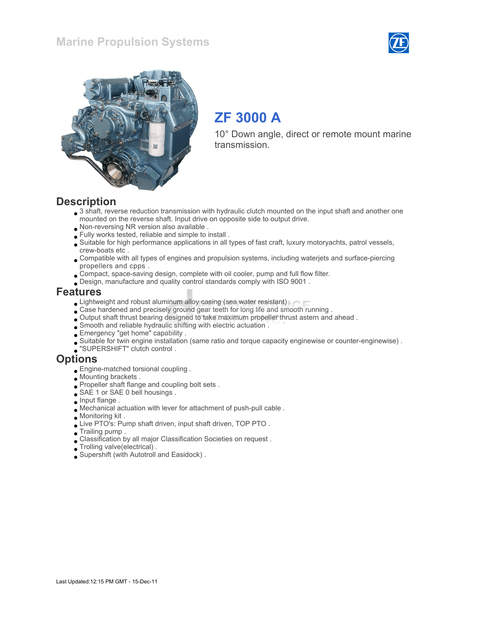



# ZF 3000 A

10° Down angle, direct or remote mount marine transmission.

#### **Description**

- 3 shaft, reverse reduction transmission with hydraulic clutch mounted on the input shaft and another one mounted on the reverse shaft. Input drive on opposite side to output drive.
- Non-reversing NR version also available .
- Fully works tested, reliable and simple to install .
- Suitable for high performance applications in all types of fast craft, luxury motoryachts, patrol vessels, crew-boats etc .
- Compatible with all types of engines and propulsion systems, including waterjets and surface-piercing propellers and cpps .
- Compact, space-saving design, complete with oil cooler, pump and full flow filter.
- Design, manufacture and quality control standards comply with ISO 9001 .

#### Features

- **Lightweight and robust aluminum alloy casing (sea water resistant).**
- Case hardened and precisely ground gear teeth for long life and smooth running .
- Output shaft thrust bearing designed to take maximum propeller thrust astern and ahead .
- Smooth and reliable hydraulic shifting with electric actuation .
- Emergency "get home" capability .
- Suitable for twin engine installation (same ratio and torque capacity enginewise or counter-enginewise) .
- "SUPERSHIFT" clutch control .

#### **Options**

- Engine-matched torsional coupling .
- Mounting brackets .
- Propeller shaft flange and coupling bolt sets .
- SAE 1 or SAE 0 bell housings.
- $\Box$  Input flange .
- Mechanical actuation with lever for attachment of push-pull cable .
- Monitoring kit .
- Live PTO's: Pump shaft driven, input shaft driven, TOP PTO .
- Trailing pump .
- Classification by all major Classification Societies on request .
- Trolling valve(electrical) .
- Supershift (with Autotroll and Easidock) .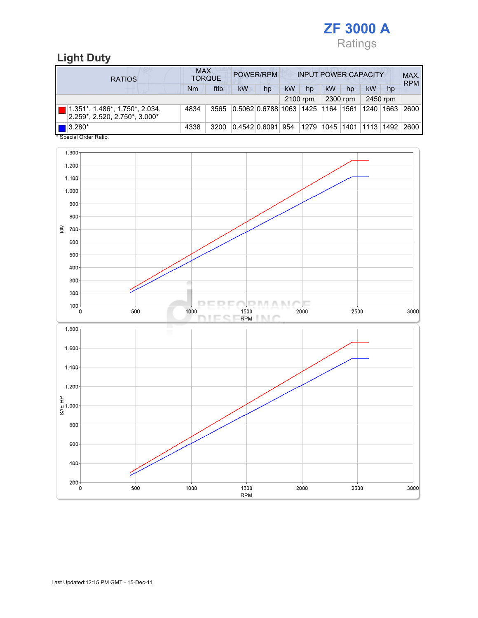

### Light Duty

| <b>RATIOS</b>                                                      | MAX.<br>POWER/RPM<br><b>INPUT POWER CAPACITY</b><br><b>TORQUE</b> |      |                                      |    |          |    |    |          |      |          | MAX.<br><b>RPM</b>                  |
|--------------------------------------------------------------------|-------------------------------------------------------------------|------|--------------------------------------|----|----------|----|----|----------|------|----------|-------------------------------------|
|                                                                    | Nm                                                                | ftlb | kW                                   | hp | kW       | hp | kW | hp       | kW   | hp       |                                     |
|                                                                    |                                                                   |      |                                      |    | 2100 rpm |    |    | 2300 rpm |      | 2450 rpm |                                     |
| 1.351*, 1.486*, 1.750*, 2.034,<br>$2.259$ *, 2.520, 2.750*, 3.000* | 4834                                                              | 3565 | 0.5062 0.6788 1063  1425  1164  1561 |    |          |    |    |          | 1240 | 1663     | 2600                                |
| $\blacksquare$ 3.280*<br>$*$ On a simil Onder Definition           | 4338                                                              | 3200 | 0.4542 0.6091  954                   |    |          |    |    |          |      |          | 1279  1045  1401  1113  1492   2600 |

Special Order Ratio.

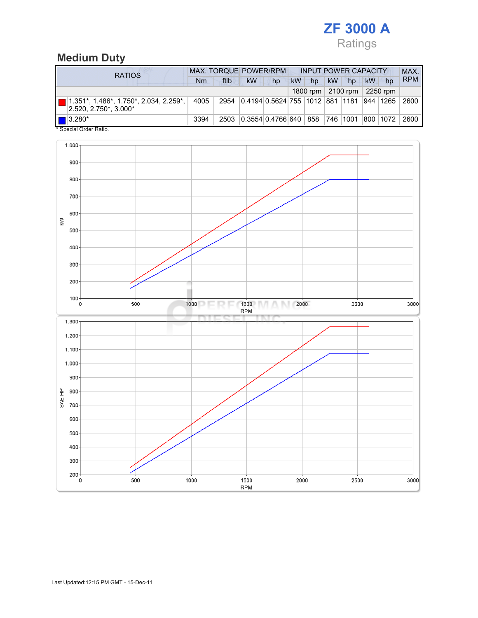## ZF 3000 A Ratings

#### Medium Duty

| <b>RATIOS</b>         |                                                                              | <b>MAX. TORQUE POWER/RPM</b> |      |                                               |    | <b>INPUT POWER CAPACITY</b> |    |           |                      |    |                  | MAX.       |
|-----------------------|------------------------------------------------------------------------------|------------------------------|------|-----------------------------------------------|----|-----------------------------|----|-----------|----------------------|----|------------------|------------|
|                       |                                                                              | Nm                           | ftlb | kW                                            | hp | <b>kW</b>                   | hp | <b>kW</b> | hp                   | kW | hp               | <b>RPM</b> |
|                       |                                                                              |                              |      |                                               |    |                             |    |           | 1800 rpm $ 2100$ rpm |    | $\vert$ 2250 rpm |            |
|                       | $  1.351^*, 1.486^*, 1.750^*, 2.034, 2.259^*,$<br>$ 2.520, 2.750^*$ , 3.000* | 4005                         |      | 2954 0.4194 0.5624 755 1012 881 1181 944 1265 |    |                             |    |           |                      |    |                  | 2600       |
| $\blacksquare$ 3.280* |                                                                              | 3394                         | 2503 | 0.3554 0.4766 640 858                         |    |                             |    |           | 746   1001           |    | 800 1072         | 2600       |
|                       | * Special Order Ratio.                                                       |                              |      |                                               |    |                             |    |           |                      |    |                  |            |

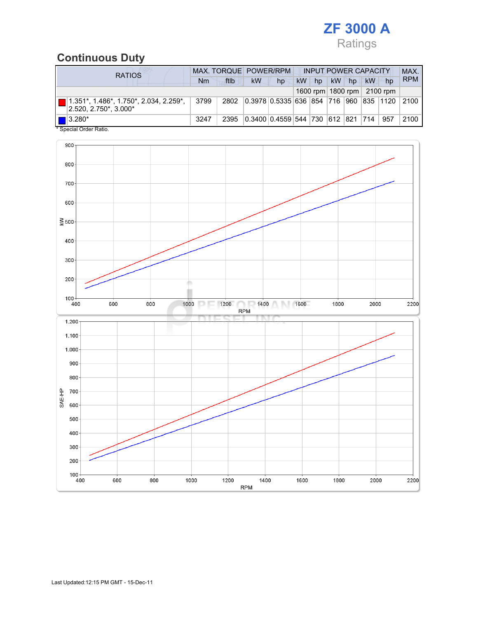## ZF 3000 A Ratings

## Continuous Duty

| <b>RATIOS</b>                                                        |      | MAX. TORQUE POWER/RPM |                                               |    |           |    |           | <b>INPUT POWER CAPACITY</b> |    |                                |            |
|----------------------------------------------------------------------|------|-----------------------|-----------------------------------------------|----|-----------|----|-----------|-----------------------------|----|--------------------------------|------------|
|                                                                      | Nm   | ftlb                  | kW                                            | hp | <b>kW</b> | hp | <b>kW</b> | hp                          | kW | hp                             | <b>RPM</b> |
|                                                                      |      |                       |                                               |    |           |    |           |                             |    | 1600 rpm   1800 rpm   2100 rpm |            |
| 1.351*, 1.486*, 1.750*, 2.034, 2.259*,<br>$ 2.520, 2.750^*$ , 3.000* | 3799 |                       | 2802 0.3978 0.5335 636 854 716 960 835 1120   |    |           |    |           |                             |    |                                | 2100       |
| $\blacksquare$ 3.280*<br>* Concial Order Patio                       | 3247 | 2395                  | 0.3400   0.4559   544   730   612   821   714 |    |           |    |           |                             |    | 957                            | 2100       |

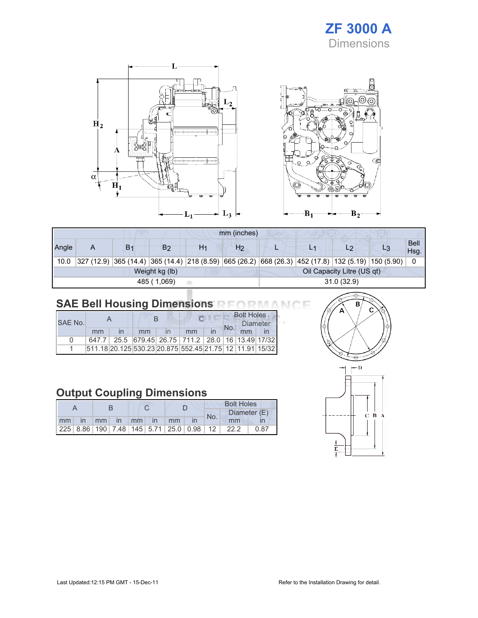## ZF 3000 A Dimensions



|       | mm (inches)                                  |                |             |            |                |  |  |                                                                                                    |  |                     |
|-------|----------------------------------------------|----------------|-------------|------------|----------------|--|--|----------------------------------------------------------------------------------------------------|--|---------------------|
| Angle | Α                                            | B <sub>1</sub> | B2          | H1         | H <sub>2</sub> |  |  | L2                                                                                                 |  | <b>Bell</b><br>Hsg. |
| 10.0  |                                              |                |             |            |                |  |  | 327 (12.9) 365 (14.4) 365 (14.4) 218 (8.59) 665 (26.2) 668 (26.3) 452 (17.8) 132 (5.19) 150 (5.90) |  |                     |
|       | Oil Capacity Litre (US qt)<br>Weight kg (lb) |                |             |            |                |  |  |                                                                                                    |  |                     |
|       |                                              |                | 485 (1,069) | 31.0(32.9) |                |  |  |                                                                                                    |  |                     |

## SAE Bell Housing Dimensions RFORMANCE

|              |       |  |    |  |                                                                 | <b>Bolt Holes</b> |          |  |  |
|--------------|-------|--|----|--|-----------------------------------------------------------------|-------------------|----------|--|--|
| SAF No.      |       |  |    |  |                                                                 |                   | Diameter |  |  |
|              | mm    |  | mm |  | mm                                                              |                   |          |  |  |
| <sup>n</sup> | 647.7 |  |    |  | 25.5 679.45 26.75 711.2 28.0 16 13.49 17/32                     |                   |          |  |  |
|              |       |  |    |  | 511.18 20.125 530.23 20.875  552.45  21.75   12   11.91   15/32 |                   |          |  |  |

### Output Coupling Dimensions

|       |  |                |  |  |  | <b>Bolt Holes</b> |                                                 |              |  |  |
|-------|--|----------------|--|--|--|-------------------|-------------------------------------------------|--------------|--|--|
|       |  |                |  |  |  | No.               |                                                 | Diameter (E) |  |  |
| mm in |  | mm in mm in mm |  |  |  |                   | mm                                              |              |  |  |
|       |  |                |  |  |  |                   | $ 225 8.86 190 7.48 145 5.71 25.0 0.98 12 22.2$ | 0.87         |  |  |